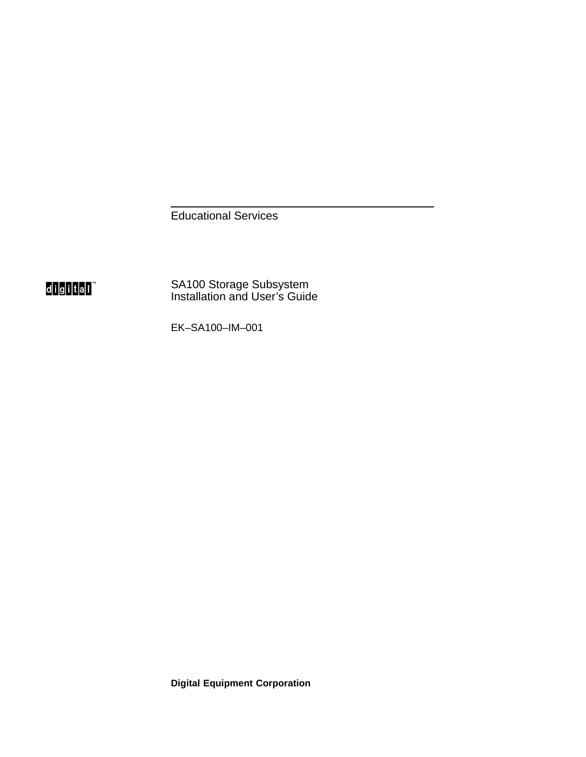Educational Services



SA100 Storage Subsystem Installation and User's Guide

EK–SA100–IM–001

**Digital Equipment Corporation**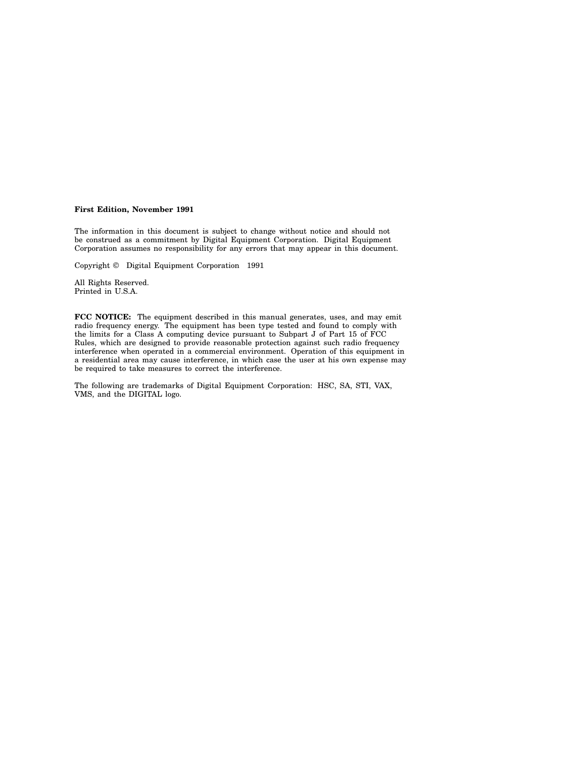#### **First Edition, November 1991**

The information in this document is subject to change without notice and should not be construed as a commitment by Digital Equipment Corporation. Digital Equipment Corporation assumes no responsibility for any errors that may appear in this document.

Copyright © Digital Equipment Corporation 1991

All Rights Reserved. Printed in U.S.A.

**FCC NOTICE:** The equipment described in this manual generates, uses, and may emit radio frequency energy. The equipment has been type tested and found to comply with the limits for a Class A computing device pursuant to Subpart J of Part 15 of FCC Rules, which are designed to provide reasonable protection against such radio frequency interference when operated in a commercial environment. Operation of this equipment in a residential area may cause interference, in which case the user at his own expense may be required to take measures to correct the interference.

The following are trademarks of Digital Equipment Corporation: HSC, SA, STI, VAX, VMS, and the DIGITAL logo.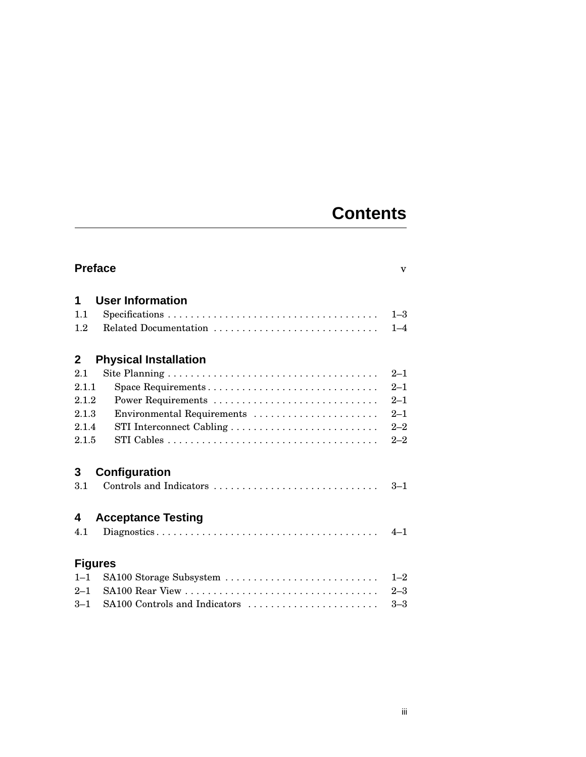### **Contents**

| <b>Preface</b><br>$\overline{\mathbf{V}}$ |                               |         |  |
|-------------------------------------------|-------------------------------|---------|--|
| 1                                         | <b>User Information</b>       |         |  |
| 1.1                                       |                               | $1 - 3$ |  |
| 1.2                                       | Related Documentation         | $1 - 4$ |  |
| $\mathbf{2}$                              | <b>Physical Installation</b>  |         |  |
| 2.1                                       |                               | $2 - 1$ |  |
| 2.1.1                                     |                               | $2 - 1$ |  |
| 2.1.2                                     |                               | $2 - 1$ |  |
| 2.1.3                                     | Environmental Requirements    | $2 - 1$ |  |
| 2.1.4                                     |                               | $2 - 2$ |  |
| 2.1.5                                     |                               | $2 - 2$ |  |
| 3                                         | Configuration                 |         |  |
| 3.1                                       | Controls and Indicators       | $3 - 1$ |  |
| 4                                         | <b>Acceptance Testing</b>     |         |  |
| 4.1                                       |                               | $4 - 1$ |  |
|                                           | <b>Figures</b>                |         |  |
| $1 - 1$                                   | SA100 Storage Subsystem       | $1 - 2$ |  |
| $2 - 1$                                   |                               | $2 - 3$ |  |
| $3-1$                                     | SA100 Controls and Indicators | $3 - 3$ |  |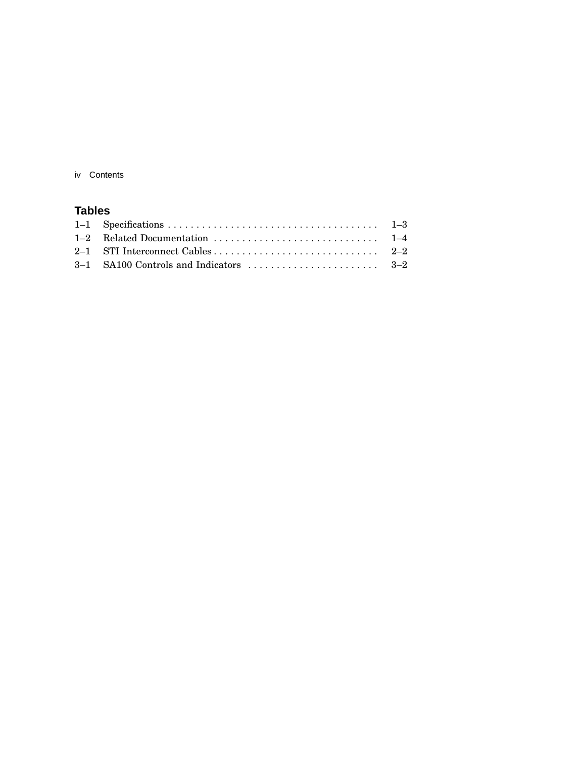iv Contents

#### **Tables**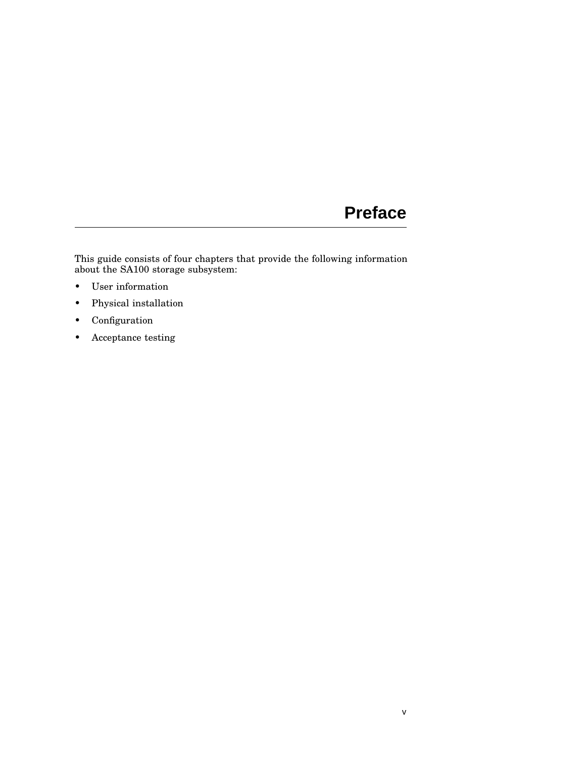### **Preface**

This guide consists of four chapters that provide the following information about the SA100 storage subsystem:

- User information
- Physical installation
- Configuration
- Acceptance testing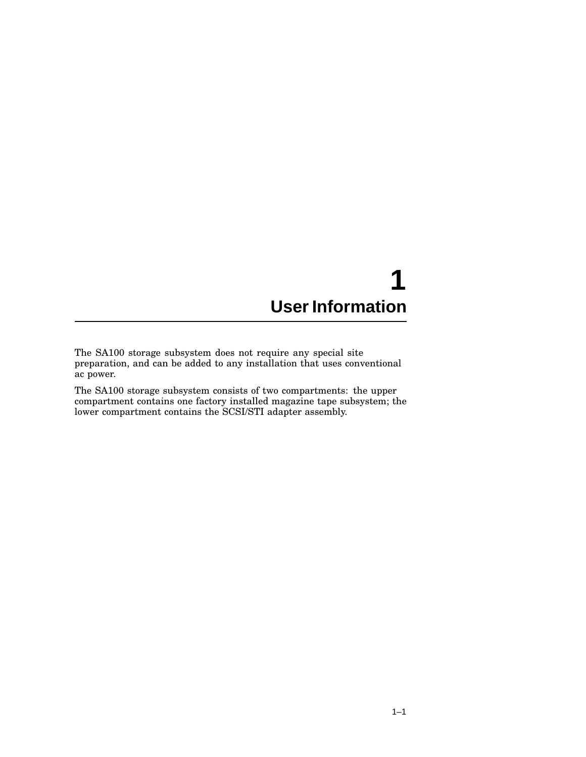## **1 User Information**

The SA100 storage subsystem does not require any special site preparation, and can be added to any installation that uses conventional ac power.

The SA100 storage subsystem consists of two compartments: the upper compartment contains one factory installed magazine tape subsystem; the lower compartment contains the SCSI/STI adapter assembly.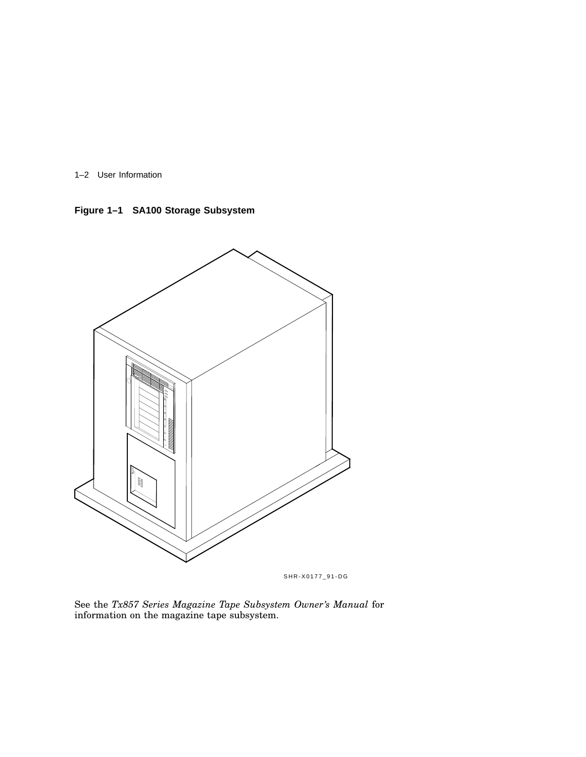1–2 User Information

**Figure 1–1 SA100 Storage Subsystem**



SHR-X0177\_91-DG

See the *Tx857 Series Magazine Tape Subsystem Owner's Manual* for information on the magazine tape subsystem.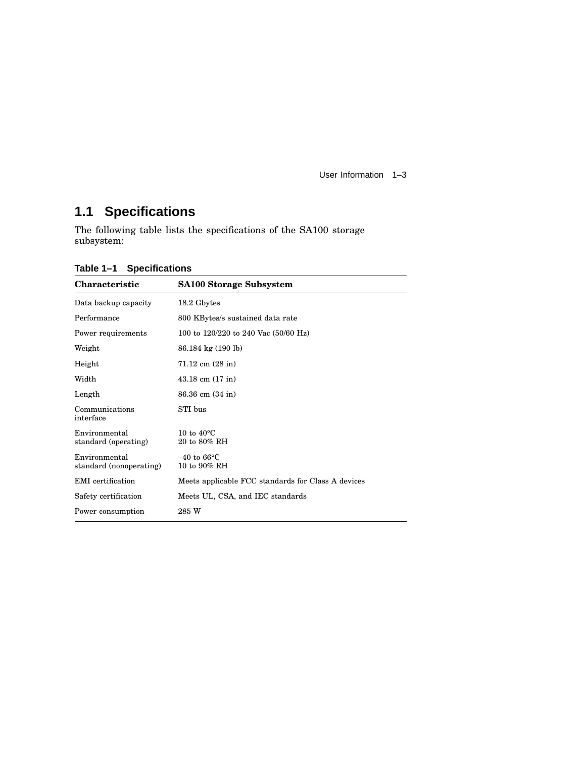User Information 1–3

### **1.1 Specifications**

The following table lists the specifications of the SA100 storage subsystem:

| Characteristic                           | <b>SA100 Storage Subsystem</b>                     |
|------------------------------------------|----------------------------------------------------|
| Data backup capacity                     | 18.2 Gbytes                                        |
| Performance                              | 800 KBytes/s sustained data rate                   |
| Power requirements                       | 100 to 120/220 to 240 Vac (50/60 Hz)               |
| Weight                                   | 86.184 kg (190 lb)                                 |
| Height                                   | $71.12 \text{ cm } (28 \text{ in})$                |
| Width                                    | $43.18$ cm $(17 \text{ in})$                       |
| Length                                   | 86.36 cm (34 in)                                   |
| Communications<br>interface              | STI bus                                            |
| Environmental<br>standard (operating)    | 10 to $40^{\circ}$ C<br>20 to 80% RH               |
| Environmental<br>standard (nonoperating) | $-40$ to 66 $\degree$ C<br>10 to 90% RH            |
| EMI certification                        | Meets applicable FCC standards for Class A devices |
| Safety certification                     | Meets UL, CSA, and IEC standards                   |
| Power consumption                        | 285 W                                              |

**Table 1–1 Specifications**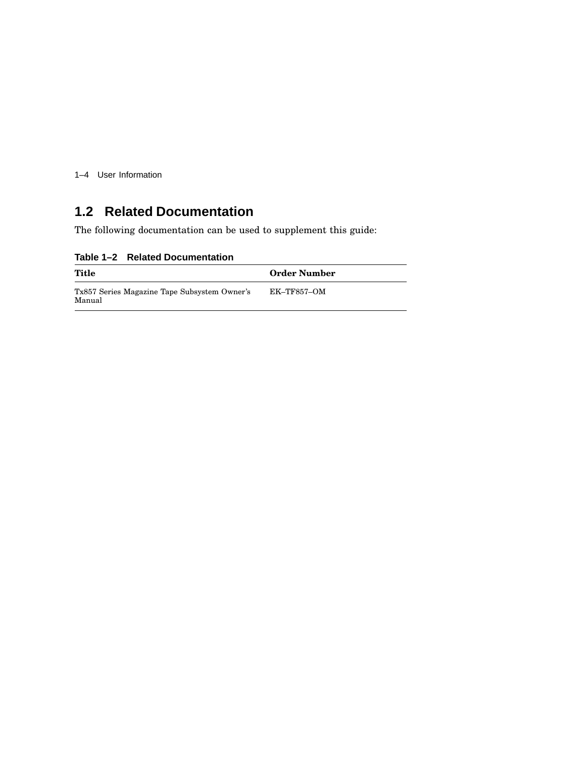1–4 User Information

### **1.2 Related Documentation**

The following documentation can be used to supplement this guide:

**Table 1–2 Related Documentation**

| Title                                                  | <b>Order Number</b> |  |
|--------------------------------------------------------|---------------------|--|
| Tx857 Series Magazine Tape Subsystem Owner's<br>Manual | EK–TF857–OM         |  |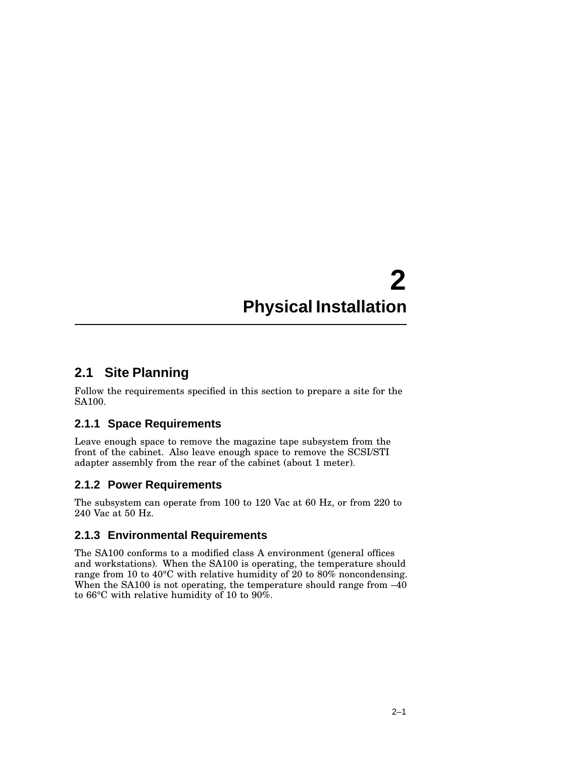## **2 Physical Installation**

#### **2.1 Site Planning**

Follow the requirements specified in this section to prepare a site for the SA100.

#### **2.1.1 Space Requirements**

Leave enough space to remove the magazine tape subsystem from the front of the cabinet. Also leave enough space to remove the SCSI/STI adapter assembly from the rear of the cabinet (about 1 meter).

#### **2.1.2 Power Requirements**

The subsystem can operate from 100 to 120 Vac at 60 Hz, or from 220 to 240 Vac at 50 Hz.

#### **2.1.3 Environmental Requirements**

The SA100 conforms to a modified class A environment (general offices and workstations). When the SA100 is operating, the temperature should range from 10 to 40°C with relative humidity of 20 to 80% noncondensing. When the SA100 is not operating, the temperature should range from  $-40$ to 66°C with relative humidity of 10 to 90%.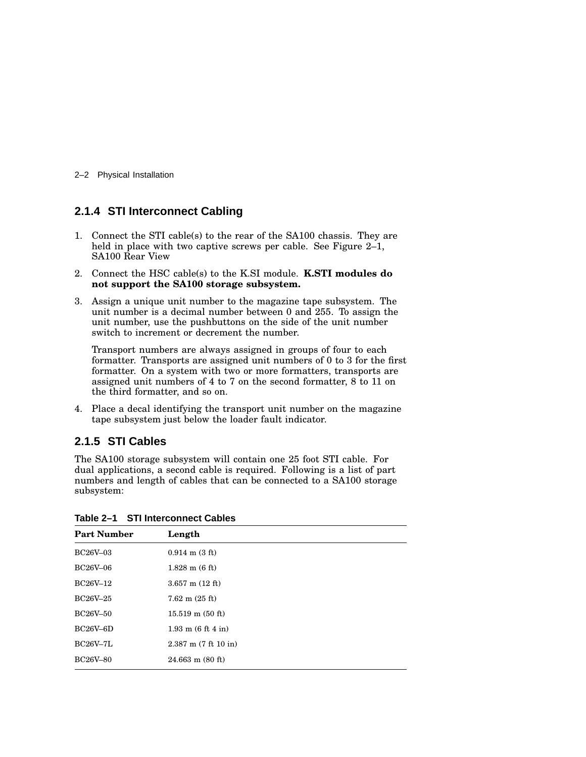2–2 Physical Installation

#### **2.1.4 STI Interconnect Cabling**

- 1. Connect the STI cable(s) to the rear of the SA100 chassis. They are held in place with two captive screws per cable. See Figure 2-1, SA100 Rear View
- 2. Connect the HSC cable(s) to the K.SI module. **K.STI modules do not support the SA100 storage subsystem.**
- 3. Assign a unique unit number to the magazine tape subsystem. The unit number is a decimal number between 0 and 255. To assign the unit number, use the pushbuttons on the side of the unit number switch to increment or decrement the number.

Transport numbers are always assigned in groups of four to each formatter. Transports are assigned unit numbers of 0 to 3 for the first formatter. On a system with two or more formatters, transports are assigned unit numbers of 4 to 7 on the second formatter, 8 to 11 on the third formatter, and so on.

4. Place a decal identifying the transport unit number on the magazine tape subsystem just below the loader fault indicator.

#### **2.1.5 STI Cables**

The SA100 storage subsystem will contain one 25 foot STI cable. For dual applications, a second cable is required. Following is a list of part numbers and length of cables that can be connected to a SA100 storage subsystem:

| <b>Part Number</b> | Length                             |
|--------------------|------------------------------------|
| <b>BC26V-03</b>    | $0.914$ m $(3 \text{ ft})$         |
| <b>BC26V-06</b>    | $1.828$ m $(6 \text{ ft})$         |
| BC26V-12           | $3.657$ m $(12 \text{ ft})$        |
| BC26V-25           | $7.62 \text{ m} (25 \text{ ft})$   |
| <b>BC26V-50</b>    | $15.519 \text{ m} (50 \text{ ft})$ |
| BC26V–6D           | $1.93 \text{ m}$ (6 ft 4 in)       |
| <b>BC26V-7L</b>    | $2.387$ m $(7 ft 10 in)$           |
| <b>BC26V-80</b>    | $24.663$ m $(80$ ft)               |

**Table 2–1 STI Interconnect Cables**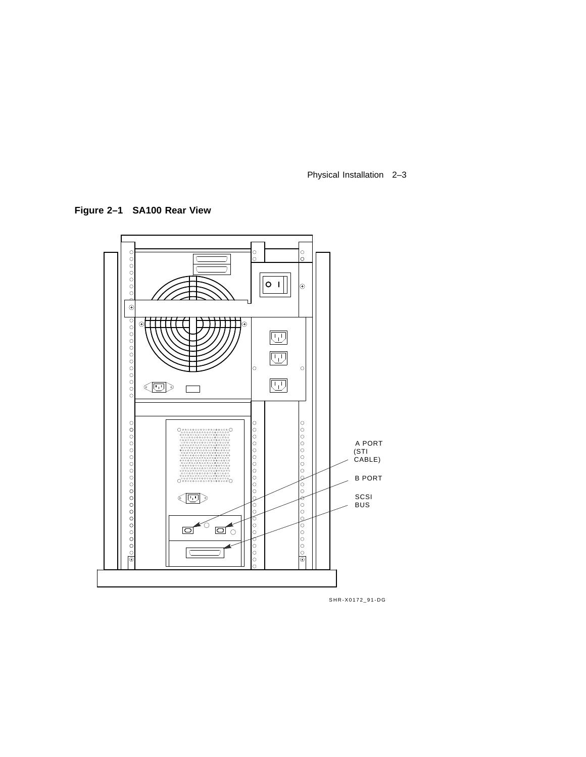Physical Installation 2–3

**Figure 2–1 SA100 Rear View**



SHR-X0172\_91-DG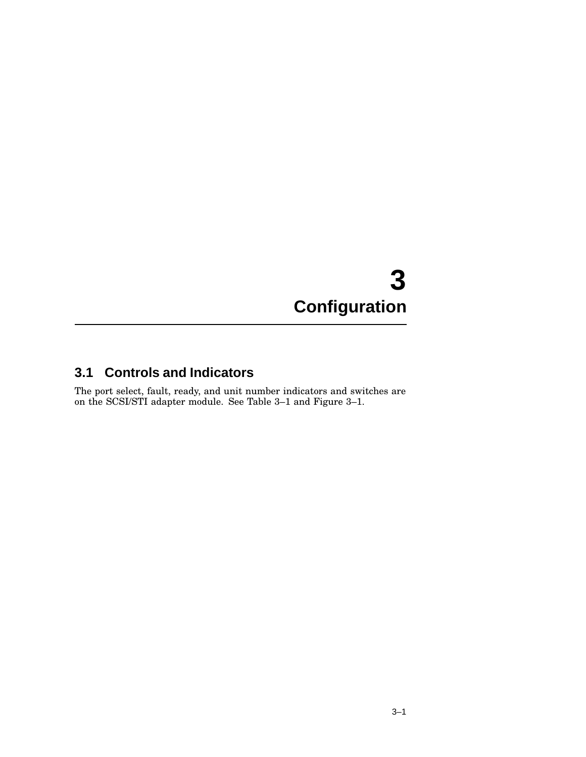# **3 Configuration**

### **3.1 Controls and Indicators**

The port select, fault, ready, and unit number indicators and switches are on the SCSI/STI adapter module. See Table 3–1 and Figure 3–1.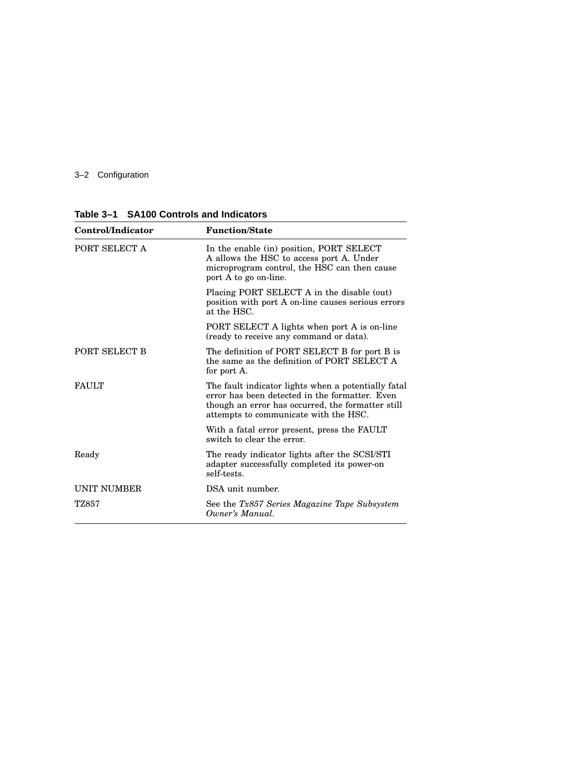#### 3–2 Configuration

| Control/Indicator  | <b>Function/State</b>                                                                                                                                                                               |
|--------------------|-----------------------------------------------------------------------------------------------------------------------------------------------------------------------------------------------------|
| PORT SELECT A      | In the enable (in) position, PORT SELECT<br>A allows the HSC to access port A. Under<br>microprogram control, the HSC can then cause<br>port A to go on-line.                                       |
|                    | Placing PORT SELECT A in the disable (out)<br>position with port A on-line causes serious errors<br>at the HSC.                                                                                     |
|                    | PORT SELECT A lights when port A is on-line<br>(ready to receive any command or data).                                                                                                              |
| PORT SELECT B      | The definition of PORT SELECT B for port B is<br>the same as the definition of PORT SELECT A<br>for port A.                                                                                         |
| <b>FAULT</b>       | The fault indicator lights when a potentially fatal<br>error has been detected in the formatter. Even<br>though an error has occurred, the formatter still<br>attempts to communicate with the HSC. |
|                    | With a fatal error present, press the FAULT<br>switch to clear the error.                                                                                                                           |
| Ready              | The ready indicator lights after the SCSI/STI<br>adapter successfully completed its power-on<br>self-tests.                                                                                         |
| <b>UNIT NUMBER</b> | DSA unit number.                                                                                                                                                                                    |
| TZ857              | See the Tx857 Series Magazine Tape Subsystem<br>Owner's Manual.                                                                                                                                     |

**Table 3–1 SA100 Controls and Indicators**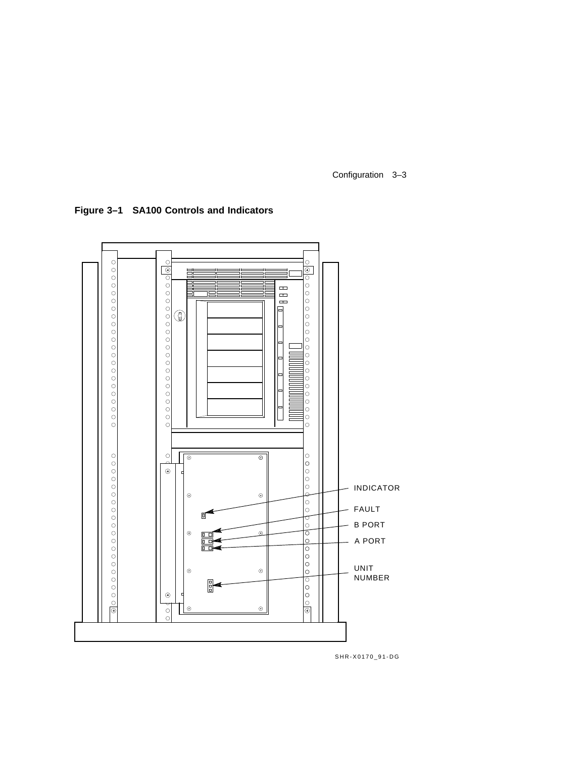Configuration 3–3

**Figure 3–1 SA100 Controls and Indicators**



SHR-X0170\_91-DG